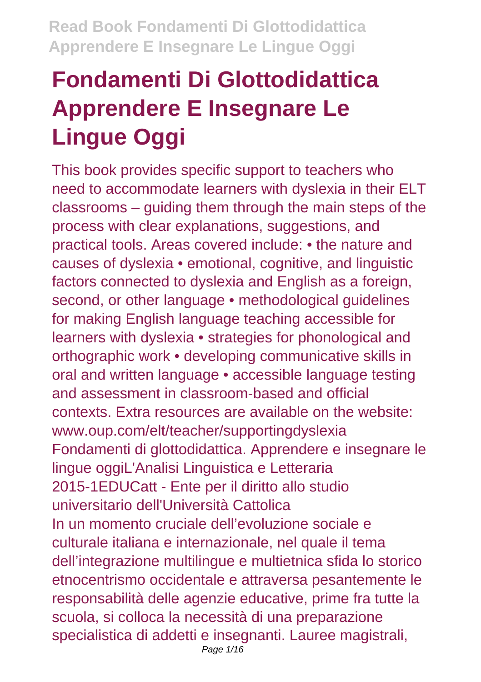# **Fondamenti Di Glottodidattica Apprendere E Insegnare Le Lingue Oggi**

This book provides specific support to teachers who need to accommodate learners with dyslexia in their ELT classrooms – guiding them through the main steps of the process with clear explanations, suggestions, and practical tools. Areas covered include: • the nature and causes of dyslexia • emotional, cognitive, and linguistic factors connected to dyslexia and English as a foreign, second, or other language • methodological guidelines for making English language teaching accessible for learners with dyslexia • strategies for phonological and orthographic work • developing communicative skills in oral and written language • accessible language testing and assessment in classroom-based and official contexts. Extra resources are available on the website: www.oup.com/elt/teacher/supportingdyslexia Fondamenti di glottodidattica. Apprendere e insegnare le lingue oggiL'Analisi Linguistica e Letteraria 2015-1EDUCatt - Ente per il diritto allo studio universitario dell'Università Cattolica In un momento cruciale dell'evoluzione sociale e culturale italiana e internazionale, nel quale il tema dell'integrazione multilingue e multietnica sfida lo storico etnocentrismo occidentale e attraversa pesantemente le responsabilità delle agenzie educative, prime fra tutte la scuola, si colloca la necessità di una preparazione specialistica di addetti e insegnanti. Lauree magistrali,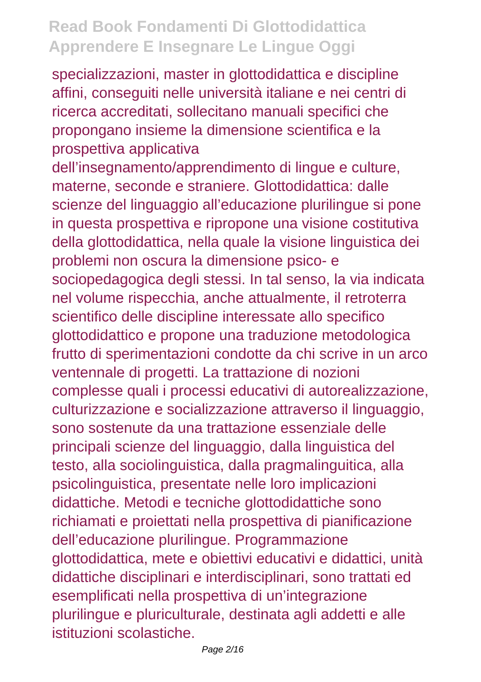specializzazioni, master in glottodidattica e discipline affini, conseguiti nelle università italiane e nei centri di ricerca accreditati, sollecitano manuali specifici che propongano insieme la dimensione scientifica e la prospettiva applicativa

dell'insegnamento/apprendimento di lingue e culture, materne, seconde e straniere. Glottodidattica: dalle scienze del linguaggio all'educazione plurilingue si pone in questa prospettiva e ripropone una visione costitutiva della glottodidattica, nella quale la visione linguistica dei problemi non oscura la dimensione psico- e sociopedagogica degli stessi. In tal senso, la via indicata nel volume rispecchia, anche attualmente, il retroterra scientifico delle discipline interessate allo specifico glottodidattico e propone una traduzione metodologica frutto di sperimentazioni condotte da chi scrive in un arco ventennale di progetti. La trattazione di nozioni complesse quali i processi educativi di autorealizzazione, culturizzazione e socializzazione attraverso il linguaggio, sono sostenute da una trattazione essenziale delle principali scienze del linguaggio, dalla linguistica del testo, alla sociolinguistica, dalla pragmalinguitica, alla psicolinguistica, presentate nelle loro implicazioni didattiche. Metodi e tecniche glottodidattiche sono richiamati e proiettati nella prospettiva di pianificazione dell'educazione plurilingue. Programmazione glottodidattica, mete e obiettivi educativi e didattici, unità didattiche disciplinari e interdisciplinari, sono trattati ed esemplificati nella prospettiva di un'integrazione plurilingue e pluriculturale, destinata agli addetti e alle istituzioni scolastiche.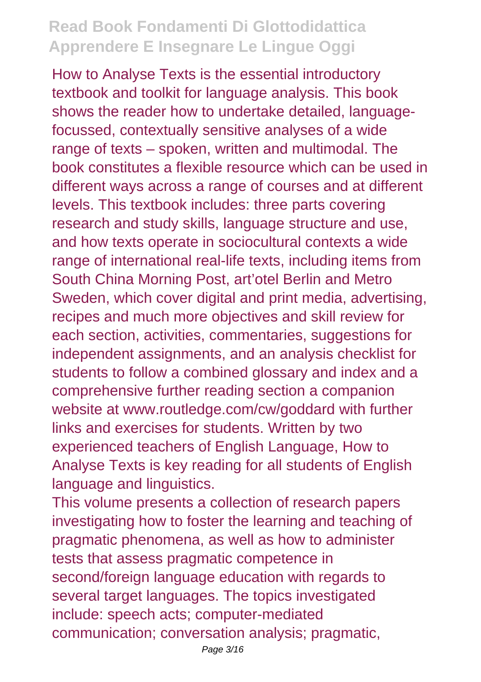How to Analyse Texts is the essential introductory textbook and toolkit for language analysis. This book shows the reader how to undertake detailed, languagefocussed, contextually sensitive analyses of a wide range of texts – spoken, written and multimodal. The book constitutes a flexible resource which can be used in different ways across a range of courses and at different levels. This textbook includes: three parts covering research and study skills, language structure and use, and how texts operate in sociocultural contexts a wide range of international real-life texts, including items from South China Morning Post, art'otel Berlin and Metro Sweden, which cover digital and print media, advertising, recipes and much more objectives and skill review for each section, activities, commentaries, suggestions for independent assignments, and an analysis checklist for students to follow a combined glossary and index and a comprehensive further reading section a companion website at www.routledge.com/cw/goddard with further links and exercises for students. Written by two experienced teachers of English Language, How to Analyse Texts is key reading for all students of English language and linguistics.

This volume presents a collection of research papers investigating how to foster the learning and teaching of pragmatic phenomena, as well as how to administer tests that assess pragmatic competence in second/foreign language education with regards to several target languages. The topics investigated include: speech acts; computer-mediated communication; conversation analysis; pragmatic,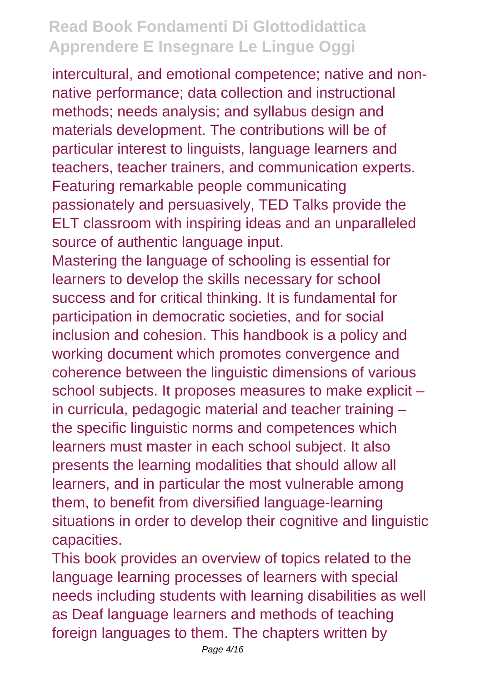intercultural, and emotional competence; native and nonnative performance; data collection and instructional methods; needs analysis; and syllabus design and materials development. The contributions will be of particular interest to linguists, language learners and teachers, teacher trainers, and communication experts. Featuring remarkable people communicating passionately and persuasively, TED Talks provide the ELT classroom with inspiring ideas and an unparalleled source of authentic language input.

Mastering the language of schooling is essential for learners to develop the skills necessary for school success and for critical thinking. It is fundamental for participation in democratic societies, and for social inclusion and cohesion. This handbook is a policy and working document which promotes convergence and coherence between the linguistic dimensions of various school subjects. It proposes measures to make explicit – in curricula, pedagogic material and teacher training – the specific linguistic norms and competences which learners must master in each school subject. It also presents the learning modalities that should allow all learners, and in particular the most vulnerable among them, to benefit from diversified language-learning situations in order to develop their cognitive and linguistic capacities.

This book provides an overview of topics related to the language learning processes of learners with special needs including students with learning disabilities as well as Deaf language learners and methods of teaching foreign languages to them. The chapters written by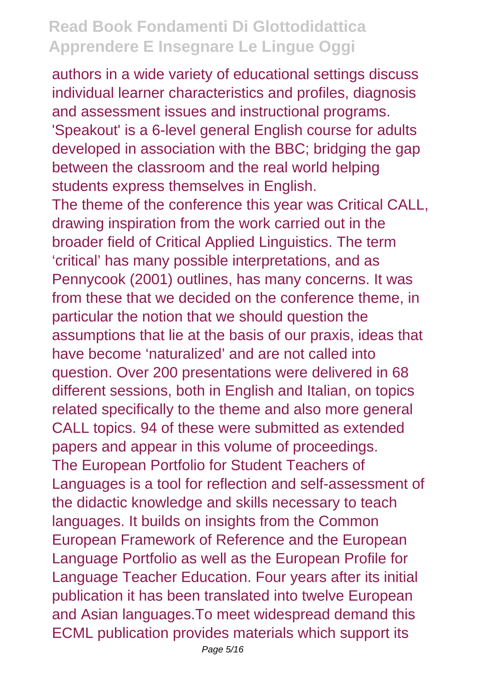authors in a wide variety of educational settings discuss individual learner characteristics and profiles, diagnosis and assessment issues and instructional programs. 'Speakout' is a 6-level general English course for adults developed in association with the BBC; bridging the gap between the classroom and the real world helping students express themselves in English.

The theme of the conference this year was Critical CALL, drawing inspiration from the work carried out in the broader field of Critical Applied Linguistics. The term 'critical' has many possible interpretations, and as Pennycook (2001) outlines, has many concerns. It was from these that we decided on the conference theme, in particular the notion that we should question the assumptions that lie at the basis of our praxis, ideas that have become 'naturalized' and are not called into question. Over 200 presentations were delivered in 68 different sessions, both in English and Italian, on topics related specifically to the theme and also more general CALL topics. 94 of these were submitted as extended papers and appear in this volume of proceedings. The European Portfolio for Student Teachers of Languages is a tool for reflection and self-assessment of the didactic knowledge and skills necessary to teach languages. It builds on insights from the Common European Framework of Reference and the European Language Portfolio as well as the European Profile for Language Teacher Education. Four years after its initial publication it has been translated into twelve European and Asian languages.To meet widespread demand this ECML publication provides materials which support its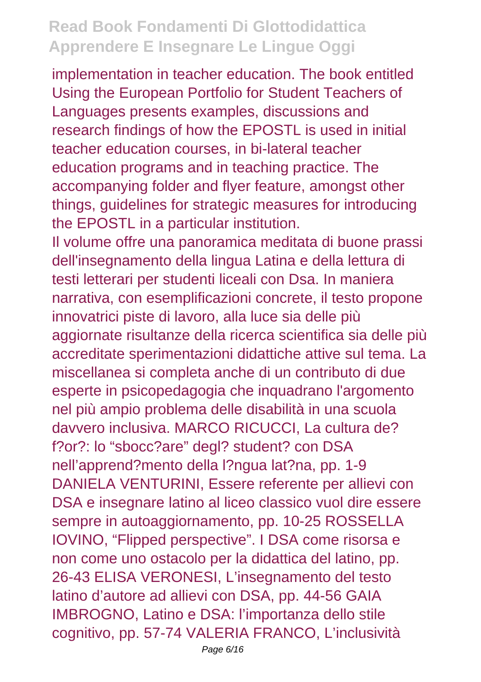implementation in teacher education. The book entitled Using the European Portfolio for Student Teachers of Languages presents examples, discussions and research findings of how the EPOSTL is used in initial teacher education courses, in bi-lateral teacher education programs and in teaching practice. The accompanying folder and flyer feature, amongst other things, guidelines for strategic measures for introducing the EPOSTL in a particular institution.

Il volume offre una panoramica meditata di buone prassi dell'insegnamento della lingua Latina e della lettura di testi letterari per studenti liceali con Dsa. In maniera narrativa, con esemplificazioni concrete, il testo propone innovatrici piste di lavoro, alla luce sia delle più aggiornate risultanze della ricerca scientifica sia delle più accreditate sperimentazioni didattiche attive sul tema. La miscellanea si completa anche di un contributo di due esperte in psicopedagogia che inquadrano l'argomento nel più ampio problema delle disabilità in una scuola davvero inclusiva. MARCO RICUCCI, La cultura de? f?or?: lo "sbocc?are" degl? student? con DSA nell'apprend?mento della l?ngua lat?na, pp. 1-9 DANIELA VENTURINI, Essere referente per allievi con DSA e insegnare latino al liceo classico vuol dire essere sempre in autoaggiornamento, pp. 10-25 ROSSELLA IOVINO, "Flipped perspective". I DSA come risorsa e non come uno ostacolo per la didattica del latino, pp. 26-43 ELISA VERONESI, L'insegnamento del testo latino d'autore ad allievi con DSA, pp. 44-56 GAIA IMBROGNO, Latino e DSA: l'importanza dello stile cognitivo, pp. 57-74 VALERIA FRANCO, L'inclusività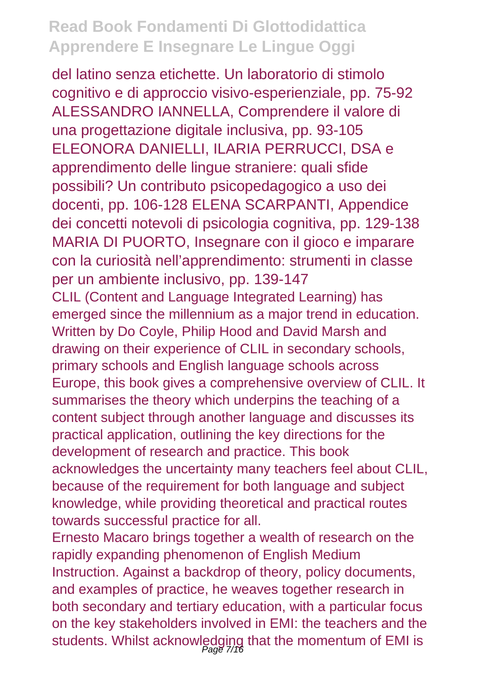del latino senza etichette. Un laboratorio di stimolo cognitivo e di approccio visivo-esperienziale, pp. 75-92 ALESSANDRO IANNELLA, Comprendere il valore di una progettazione digitale inclusiva, pp. 93-105 ELEONORA DANIELLI, ILARIA PERRUCCI, DSA e apprendimento delle lingue straniere: quali sfide possibili? Un contributo psicopedagogico a uso dei docenti, pp. 106-128 ELENA SCARPANTI, Appendice dei concetti notevoli di psicologia cognitiva, pp. 129-138 MARIA DI PUORTO, Insegnare con il gioco e imparare con la curiosità nell'apprendimento: strumenti in classe per un ambiente inclusivo, pp. 139-147 CLIL (Content and Language Integrated Learning) has emerged since the millennium as a major trend in education. Written by Do Coyle, Philip Hood and David Marsh and drawing on their experience of CLIL in secondary schools, primary schools and English language schools across Europe, this book gives a comprehensive overview of CLIL. It summarises the theory which underpins the teaching of a content subject through another language and discusses its practical application, outlining the key directions for the development of research and practice. This book acknowledges the uncertainty many teachers feel about CLIL, because of the requirement for both language and subject knowledge, while providing theoretical and practical routes towards successful practice for all. Ernesto Macaro brings together a wealth of research on the rapidly expanding phenomenon of English Medium Instruction. Against a backdrop of theory, policy documents, and examples of practice, he weaves together research in both secondary and tertiary education, with a particular focus

on the key stakeholders involved in EMI: the teachers and the students. Whilst acknowledging that the momentum of EMI is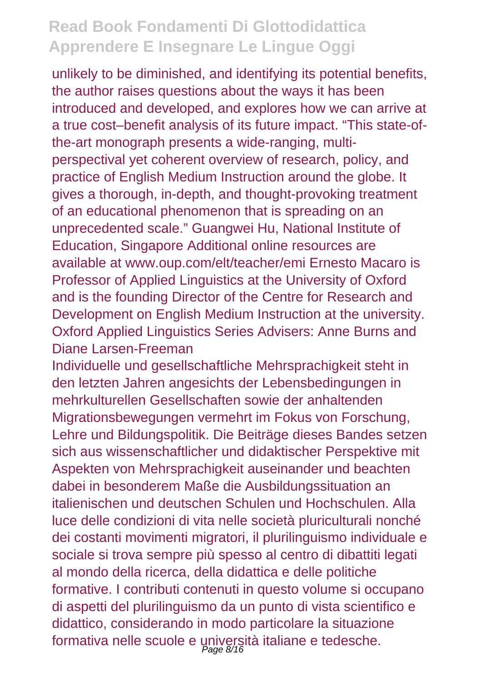unlikely to be diminished, and identifying its potential benefits, the author raises questions about the ways it has been introduced and developed, and explores how we can arrive at a true cost–benefit analysis of its future impact. "This state-ofthe-art monograph presents a wide-ranging, multiperspectival yet coherent overview of research, policy, and practice of English Medium Instruction around the globe. It gives a thorough, in-depth, and thought-provoking treatment of an educational phenomenon that is spreading on an unprecedented scale." Guangwei Hu, National Institute of Education, Singapore Additional online resources are available at www.oup.com/elt/teacher/emi Ernesto Macaro is Professor of Applied Linguistics at the University of Oxford and is the founding Director of the Centre for Research and Development on English Medium Instruction at the university. Oxford Applied Linguistics Series Advisers: Anne Burns and Diane Larsen-Freeman

Individuelle und gesellschaftliche Mehrsprachigkeit steht in den letzten Jahren angesichts der Lebensbedingungen in mehrkulturellen Gesellschaften sowie der anhaltenden Migrationsbewegungen vermehrt im Fokus von Forschung, Lehre und Bildungspolitik. Die Beiträge dieses Bandes setzen sich aus wissenschaftlicher und didaktischer Perspektive mit Aspekten von Mehrsprachigkeit auseinander und beachten dabei in besonderem Maße die Ausbildungssituation an italienischen und deutschen Schulen und Hochschulen. Alla luce delle condizioni di vita nelle società pluriculturali nonché dei costanti movimenti migratori, il plurilinguismo individuale e sociale si trova sempre più spesso al centro di dibattiti legati al mondo della ricerca, della didattica e delle politiche formative. I contributi contenuti in questo volume si occupano di aspetti del plurilinguismo da un punto di vista scientifico e didattico, considerando in modo particolare la situazione formativa nelle scuole e università italiane e tedesche.<br>Page 8/16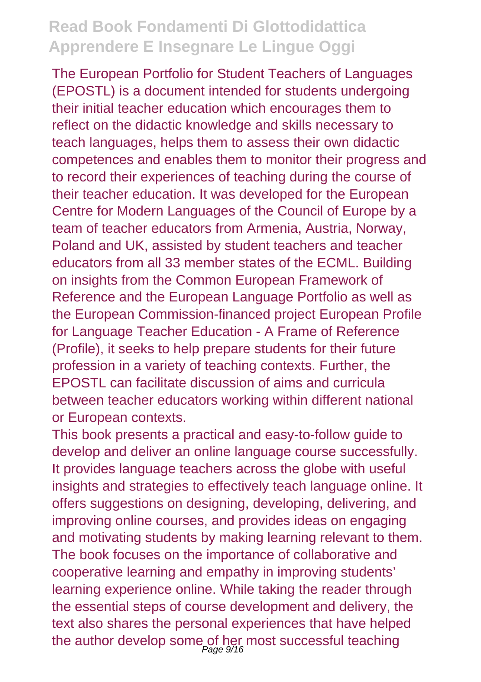The European Portfolio for Student Teachers of Languages (EPOSTL) is a document intended for students undergoing their initial teacher education which encourages them to reflect on the didactic knowledge and skills necessary to teach languages, helps them to assess their own didactic competences and enables them to monitor their progress and to record their experiences of teaching during the course of their teacher education. It was developed for the European Centre for Modern Languages of the Council of Europe by a team of teacher educators from Armenia, Austria, Norway, Poland and UK, assisted by student teachers and teacher educators from all 33 member states of the ECML. Building on insights from the Common European Framework of Reference and the European Language Portfolio as well as the European Commission-financed project European Profile for Language Teacher Education - A Frame of Reference (Profile), it seeks to help prepare students for their future profession in a variety of teaching contexts. Further, the EPOSTL can facilitate discussion of aims and curricula between teacher educators working within different national or European contexts.

This book presents a practical and easy-to-follow guide to develop and deliver an online language course successfully. It provides language teachers across the globe with useful insights and strategies to effectively teach language online. It offers suggestions on designing, developing, delivering, and improving online courses, and provides ideas on engaging and motivating students by making learning relevant to them. The book focuses on the importance of collaborative and cooperative learning and empathy in improving students' learning experience online. While taking the reader through the essential steps of course development and delivery, the text also shares the personal experiences that have helped the author develop some of her most successful teaching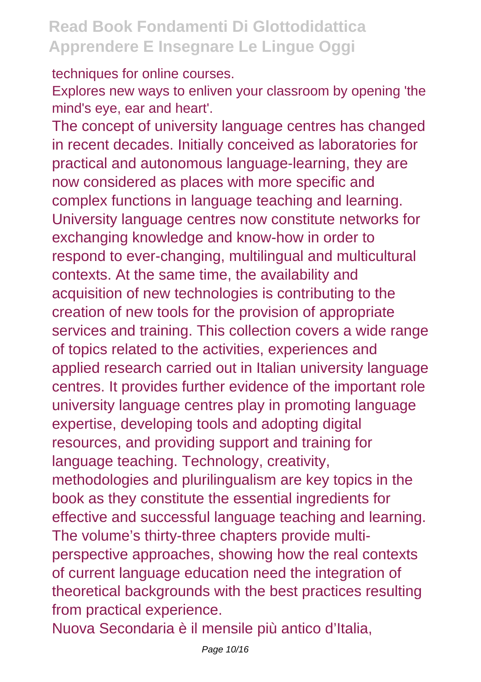techniques for online courses.

Explores new ways to enliven your classroom by opening 'the mind's eye, ear and heart'.

The concept of university language centres has changed in recent decades. Initially conceived as laboratories for practical and autonomous language-learning, they are now considered as places with more specific and complex functions in language teaching and learning. University language centres now constitute networks for exchanging knowledge and know-how in order to respond to ever-changing, multilingual and multicultural contexts. At the same time, the availability and acquisition of new technologies is contributing to the creation of new tools for the provision of appropriate services and training. This collection covers a wide range of topics related to the activities, experiences and applied research carried out in Italian university language centres. It provides further evidence of the important role university language centres play in promoting language expertise, developing tools and adopting digital resources, and providing support and training for language teaching. Technology, creativity, methodologies and plurilingualism are key topics in the book as they constitute the essential ingredients for effective and successful language teaching and learning. The volume's thirty-three chapters provide multiperspective approaches, showing how the real contexts of current language education need the integration of theoretical backgrounds with the best practices resulting from practical experience.

Nuova Secondaria è il mensile più antico d'Italia,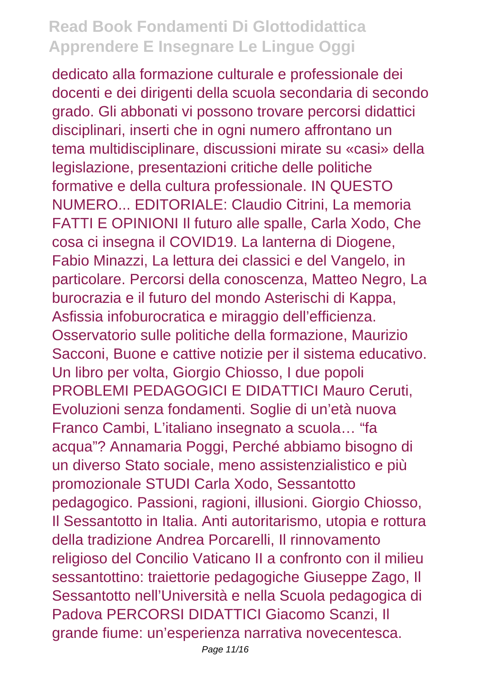dedicato alla formazione culturale e professionale dei docenti e dei dirigenti della scuola secondaria di secondo grado. Gli abbonati vi possono trovare percorsi didattici disciplinari, inserti che in ogni numero affrontano un tema multidisciplinare, discussioni mirate su «casi» della legislazione, presentazioni critiche delle politiche formative e della cultura professionale. IN QUESTO NUMERO... EDITORIALE: Claudio Citrini, La memoria FATTI E OPINIONI Il futuro alle spalle, Carla Xodo, Che cosa ci insegna il COVID19. La lanterna di Diogene, Fabio Minazzi, La lettura dei classici e del Vangelo, in particolare. Percorsi della conoscenza, Matteo Negro, La burocrazia e il futuro del mondo Asterischi di Kappa, Asfissia infoburocratica e miraggio dell'efficienza. Osservatorio sulle politiche della formazione, Maurizio Sacconi, Buone e cattive notizie per il sistema educativo. Un libro per volta, Giorgio Chiosso, I due popoli PROBLEMI PEDAGOGICI E DIDATTICI Mauro Ceruti, Evoluzioni senza fondamenti. Soglie di un'età nuova Franco Cambi, L'italiano insegnato a scuola… "fa acqua"? Annamaria Poggi, Perché abbiamo bisogno di un diverso Stato sociale, meno assistenzialistico e più promozionale STUDI Carla Xodo, Sessantotto pedagogico. Passioni, ragioni, illusioni. Giorgio Chiosso, Il Sessantotto in Italia. Anti autoritarismo, utopia e rottura della tradizione Andrea Porcarelli, Il rinnovamento religioso del Concilio Vaticano II a confronto con il milieu sessantottino: traiettorie pedagogiche Giuseppe Zago, Il Sessantotto nell'Università e nella Scuola pedagogica di Padova PERCORSI DIDATTICI Giacomo Scanzi, Il grande fiume: un'esperienza narrativa novecentesca.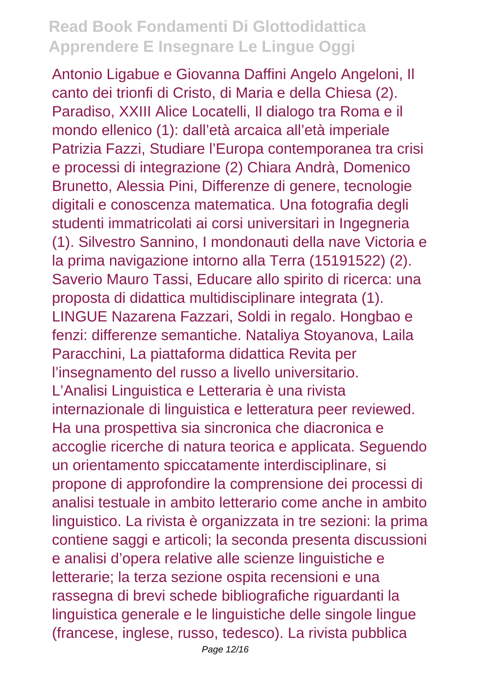Antonio Ligabue e Giovanna Daffini Angelo Angeloni, Il canto dei trionfi di Cristo, di Maria e della Chiesa (2). Paradiso, XXIII Alice Locatelli, Il dialogo tra Roma e il mondo ellenico (1): dall'età arcaica all'età imperiale Patrizia Fazzi, Studiare l'Europa contemporanea tra crisi e processi di integrazione (2) Chiara Andrà, Domenico Brunetto, Alessia Pini, Differenze di genere, tecnologie digitali e conoscenza matematica. Una fotografia degli studenti immatricolati ai corsi universitari in Ingegneria (1). Silvestro Sannino, I mondonauti della nave Victoria e la prima navigazione intorno alla Terra (15191522) (2). Saverio Mauro Tassi, Educare allo spirito di ricerca: una proposta di didattica multidisciplinare integrata (1). LINGUE Nazarena Fazzari, Soldi in regalo. Hongbao e fenzi: differenze semantiche. Nataliya Stoyanova, Laila Paracchini, La piattaforma didattica Revita per l'insegnamento del russo a livello universitario. L'Analisi Linguistica e Letteraria è una rivista internazionale di linguistica e letteratura peer reviewed. Ha una prospettiva sia sincronica che diacronica e accoglie ricerche di natura teorica e applicata. Seguendo un orientamento spiccatamente interdisciplinare, si propone di approfondire la comprensione dei processi di analisi testuale in ambito letterario come anche in ambito linguistico. La rivista è organizzata in tre sezioni: la prima contiene saggi e articoli; la seconda presenta discussioni e analisi d'opera relative alle scienze linguistiche e letterarie; la terza sezione ospita recensioni e una rassegna di brevi schede bibliografiche riguardanti la linguistica generale e le linguistiche delle singole lingue (francese, inglese, russo, tedesco). La rivista pubblica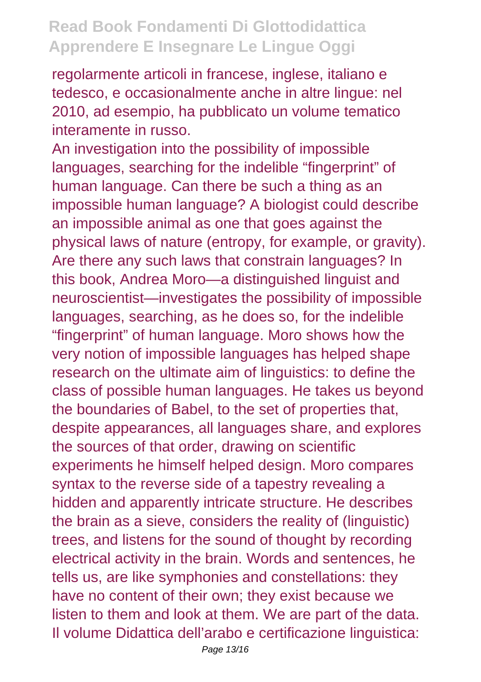regolarmente articoli in francese, inglese, italiano e tedesco, e occasionalmente anche in altre lingue: nel 2010, ad esempio, ha pubblicato un volume tematico interamente in russo.

An investigation into the possibility of impossible languages, searching for the indelible "fingerprint" of human language. Can there be such a thing as an impossible human language? A biologist could describe an impossible animal as one that goes against the physical laws of nature (entropy, for example, or gravity). Are there any such laws that constrain languages? In this book, Andrea Moro—a distinguished linguist and neuroscientist—investigates the possibility of impossible languages, searching, as he does so, for the indelible "fingerprint" of human language. Moro shows how the very notion of impossible languages has helped shape research on the ultimate aim of linguistics: to define the class of possible human languages. He takes us beyond the boundaries of Babel, to the set of properties that, despite appearances, all languages share, and explores the sources of that order, drawing on scientific experiments he himself helped design. Moro compares syntax to the reverse side of a tapestry revealing a hidden and apparently intricate structure. He describes the brain as a sieve, considers the reality of (linguistic) trees, and listens for the sound of thought by recording electrical activity in the brain. Words and sentences, he tells us, are like symphonies and constellations: they have no content of their own; they exist because we listen to them and look at them. We are part of the data. Il volume Didattica dell'arabo e certificazione linguistica: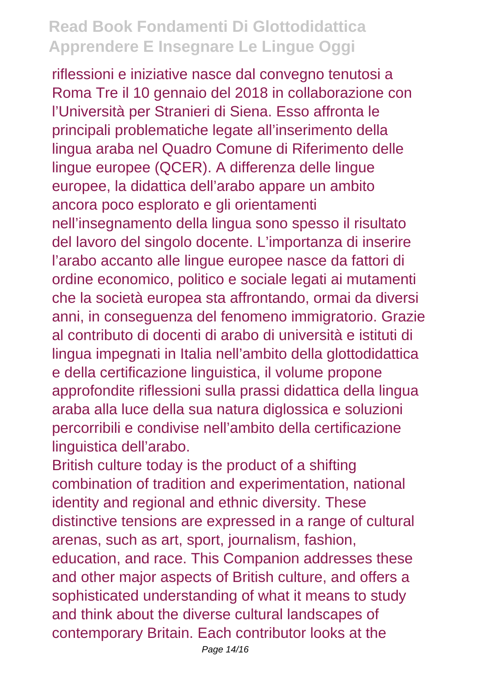riflessioni e iniziative nasce dal convegno tenutosi a Roma Tre il 10 gennaio del 2018 in collaborazione con l'Università per Stranieri di Siena. Esso affronta le principali problematiche legate all'inserimento della lingua araba nel Quadro Comune di Riferimento delle lingue europee (QCER). A differenza delle lingue europee, la didattica dell'arabo appare un ambito ancora poco esplorato e gli orientamenti nell'insegnamento della lingua sono spesso il risultato del lavoro del singolo docente. L'importanza di inserire l'arabo accanto alle lingue europee nasce da fattori di ordine economico, politico e sociale legati ai mutamenti che la società europea sta affrontando, ormai da diversi anni, in conseguenza del fenomeno immigratorio. Grazie al contributo di docenti di arabo di università e istituti di lingua impegnati in Italia nell'ambito della glottodidattica e della certificazione linguistica, il volume propone approfondite riflessioni sulla prassi didattica della lingua araba alla luce della sua natura diglossica e soluzioni percorribili e condivise nell'ambito della certificazione linguistica dell'arabo.

British culture today is the product of a shifting combination of tradition and experimentation, national identity and regional and ethnic diversity. These distinctive tensions are expressed in a range of cultural arenas, such as art, sport, journalism, fashion, education, and race. This Companion addresses these and other major aspects of British culture, and offers a sophisticated understanding of what it means to study and think about the diverse cultural landscapes of contemporary Britain. Each contributor looks at the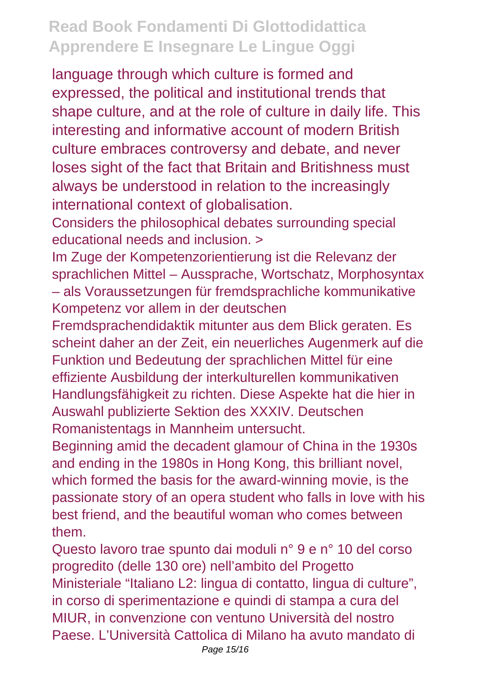language through which culture is formed and expressed, the political and institutional trends that shape culture, and at the role of culture in daily life. This interesting and informative account of modern British culture embraces controversy and debate, and never loses sight of the fact that Britain and Britishness must always be understood in relation to the increasingly international context of globalisation.

Considers the philosophical debates surrounding special educational needs and inclusion. >

Im Zuge der Kompetenzorientierung ist die Relevanz der sprachlichen Mittel – Aussprache, Wortschatz, Morphosyntax – als Voraussetzungen für fremdsprachliche kommunikative Kompetenz vor allem in der deutschen

Fremdsprachendidaktik mitunter aus dem Blick geraten. Es scheint daher an der Zeit, ein neuerliches Augenmerk auf die Funktion und Bedeutung der sprachlichen Mittel für eine effiziente Ausbildung der interkulturellen kommunikativen Handlungsfähigkeit zu richten. Diese Aspekte hat die hier in Auswahl publizierte Sektion des XXXIV. Deutschen Romanistentags in Mannheim untersucht.

Beginning amid the decadent glamour of China in the 1930s and ending in the 1980s in Hong Kong, this brilliant novel, which formed the basis for the award-winning movie, is the passionate story of an opera student who falls in love with his best friend, and the beautiful woman who comes between them.

Questo lavoro trae spunto dai moduli n° 9 e n° 10 del corso progredito (delle 130 ore) nell'ambito del Progetto Ministeriale "Italiano L2: lingua di contatto, lingua di culture", in corso di sperimentazione e quindi di stampa a cura del MIUR, in convenzione con ventuno Università del nostro Paese. L'Università Cattolica di Milano ha avuto mandato di